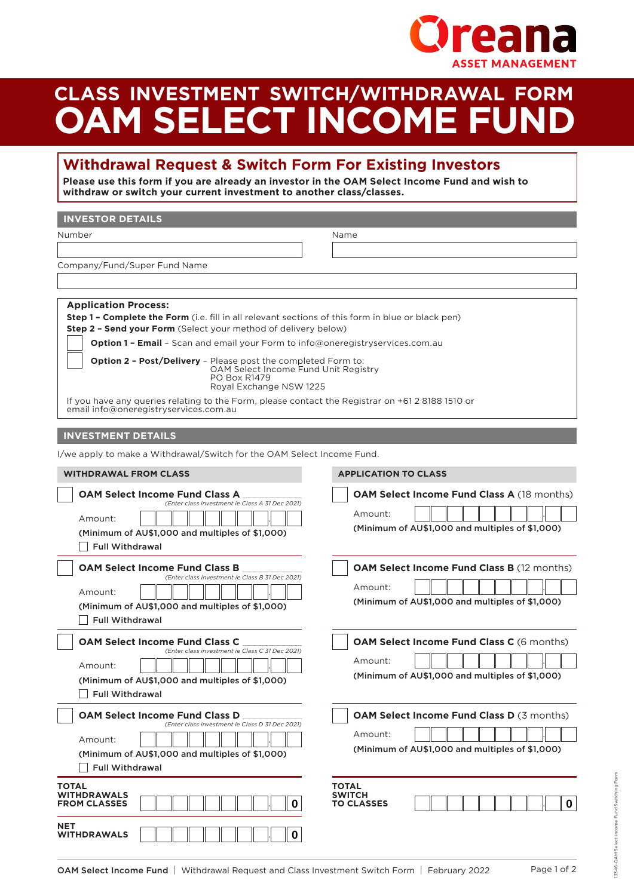

## **CLASS INVESTMENT SWITCH/WITHDRAWAL FORM OAM SELECT INCOME FUND**

## **Withdrawal Request & Switch Form For Existing Investors**

**Please use this form if you are already an investor in the OAM Select Income Fund and wish to withdraw or switch your current investment to another class/classes.**

| <b>INVESTOR DETAILS</b>                                                                                                                                                                                                                                                                            |                                                              |
|----------------------------------------------------------------------------------------------------------------------------------------------------------------------------------------------------------------------------------------------------------------------------------------------------|--------------------------------------------------------------|
| Number                                                                                                                                                                                                                                                                                             | Name                                                         |
|                                                                                                                                                                                                                                                                                                    |                                                              |
| Company/Fund/Super Fund Name                                                                                                                                                                                                                                                                       |                                                              |
|                                                                                                                                                                                                                                                                                                    |                                                              |
| <b>Application Process:</b><br><b>Step 1 - Complete the Form</b> (i.e. fill in all relevant sections of this form in blue or black pen)<br>Step 2 - Send your Form (Select your method of delivery below)<br><b>Option 1 - Email</b> - Scan and email your Form to info@oneregistryservices.com.au |                                                              |
| <b>Option 2 - Post/Delivery - Please post the completed Form to:</b><br>OAM Select Income Fund Unit Registry<br>PO Box R1479<br>Royal Exchange NSW 1225                                                                                                                                            |                                                              |
| If you have any queries relating to the Form, please contact the Registrar on +61 2 8188 1510 or<br>email info@oneregistryservices.com.au                                                                                                                                                          |                                                              |
| <b>INVESTMENT DETAILS</b>                                                                                                                                                                                                                                                                          |                                                              |
| I/we apply to make a Withdrawal/Switch for the OAM Select Income Fund.                                                                                                                                                                                                                             |                                                              |
| <b>WITHDRAWAL FROM CLASS</b>                                                                                                                                                                                                                                                                       | <b>APPLICATION TO CLASS</b>                                  |
| <b>OAM Select Income Fund Class A</b><br>(Enter class investment ie Class A 31 Dec 2021)                                                                                                                                                                                                           | <b>OAM Select Income Fund Class A (18 months)</b><br>Amount: |
| Amount:<br>(Minimum of AU\$1,000 and multiples of \$1,000)<br><b>Full Withdrawal</b>                                                                                                                                                                                                               | (Minimum of AU\$1,000 and multiples of \$1,000)              |
| OAM Select Income Fund Class B                                                                                                                                                                                                                                                                     | <b>OAM Select Income Fund Class B (12 months)</b>            |
| (Enter class investment ie Class B 31 Dec 2021)<br>Amount:                                                                                                                                                                                                                                         | Amount:                                                      |
| (Minimum of AU\$1,000 and multiples of \$1,000)<br><b>Full Withdrawal</b>                                                                                                                                                                                                                          | (Minimum of AU\$1,000 and multiples of \$1,000)              |
| <b>OAM Select Income Fund Class C</b>                                                                                                                                                                                                                                                              | OAM Select Income Fund Class C (6 months)                    |
| (Enter class investment ie Class C 31 Dec 2021)<br>Amount:<br>(Minimum of AU\$1,000 and multiples of \$1,000)                                                                                                                                                                                      | Amount:<br>(Minimum of AU\$1,000 and multiples of \$1,000)   |
| <b>Full Withdrawal</b>                                                                                                                                                                                                                                                                             |                                                              |
| <b>OAM Select Income Fund Class D</b><br>(Enter class investment ie Class D 31 Dec 2021)                                                                                                                                                                                                           | OAM Select Income Fund Class D (3 months)<br>Amount:         |
| Amount:<br>(Minimum of AU\$1,000 and multiples of \$1,000)<br><b>Full Withdrawal</b>                                                                                                                                                                                                               | (Minimum of AU\$1,000 and multiples of \$1,000)              |
| <b>TOTAL</b><br><b>WITHDRAWALS</b><br>0<br><b>FROM CLASSES</b>                                                                                                                                                                                                                                     | <b>TOTAL</b><br><b>SWITCH</b><br>TO CLASSES<br>$\mathbf 0$   |
| NET<br>0<br><b>WITHDRAWALS</b>                                                                                                                                                                                                                                                                     |                                                              |